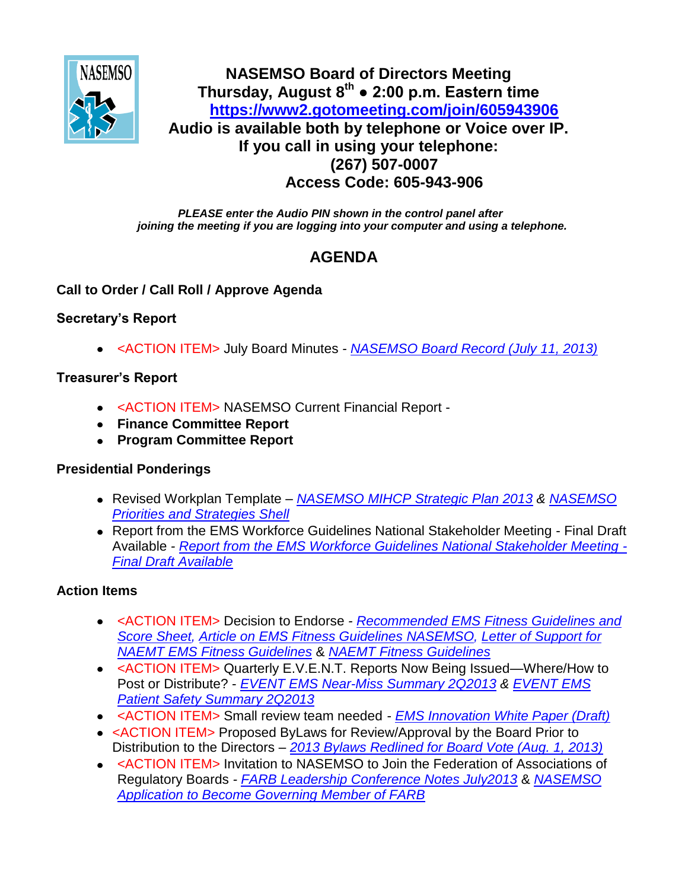

# **NASEMSO Board of Directors Meeting Thursday, August 8th ● 2:00 p.m. Eastern time <https://www2.gotomeeting.com/join/605943906> Audio is available both by telephone or Voice over IP. If you call in using your telephone: (267) 507-0007 Access Code: 605-943-906**

*PLEASE enter the Audio PIN shown in the control panel after joining the meeting if you are logging into your computer and using a telephone.*

# **AGENDA**

## **Call to Order / Call Roll / Approve Agenda**

## **Secretary's Report**

<ACTION ITEM> July Board Minutes *- [NASEMSO Board Record \(July 11, 2013\)](https://www.nasemso.org/Members/Board/documents/NASEMSO-Board-MInutes-11July2013.pdf)*

## **Treasurer's Report**

- <ACTION ITEM> NASEMSO Current Financial Report -
- **Finance Committee Report**
- **Program Committee Report**

# **Presidential Ponderings**

- Revised Workplan Template *[NASEMSO MIHCP Strategic Plan 2013](https://www.nasemso.org/Members/Board/documents/NASEMSO-MIHCP-Strategic-Plan-2013.pdf) & [NASEMSO](https://www.nasemso.org/Members/Board/documents/NASEMSO-Priorities-and-Strategies-Shell.docx)  [Priorities and Strategies Shell](https://www.nasemso.org/Members/Board/documents/NASEMSO-Priorities-and-Strategies-Shell.docx)*
- Report from the EMS Workforce Guidelines National Stakeholder Meeting Final Draft Available *- [Report from the EMS Workforce Guidelines National Stakeholder Meeting -](https://www.nasemso.org/documents/EMS-Workforce-Guidelines-02Aug2013.pdf) [Final Draft Available](https://www.nasemso.org/documents/EMS-Workforce-Guidelines-02Aug2013.pdf)*

# **Action Items**

- <ACTION ITEM> Decision to Endorse *- [Recommended EMS Fitness Guidelines and](http://www.nasemso.org/Members/Board/documents/Recommended-EMS-Fitness-Guidelines-and-Assessment-Score-Sheet.pdf)  [Score Sheet,](http://www.nasemso.org/Members/Board/documents/Recommended-EMS-Fitness-Guidelines-and-Assessment-Score-Sheet.pdf) [Article on EMS Fitness Guidelines](http://www.nasemso.org/Members/Board/documents/Article-on-EMS-Fitness-Guidelines.pdf) [NASEMSO, Letter of Support for](https://www.nasemso.org/Members/Board/documents/NASEMSO-Letter-of-Support-NAEMT-EMS-Fitness-Guidelines.pdf)  [NAEMT EMS Fitness Guidelines](https://www.nasemso.org/Members/Board/documents/NASEMSO-Letter-of-Support-NAEMT-EMS-Fitness-Guidelines.pdf)* & *[NAEMT Fitness Guidelines](http://www.naemt.org/emshealthsafety/EMSFitness.aspx)*
- <ACTION ITEM> Quarterly E.V.E.N.T. Reports Now Being Issued—Where/How to Post or Distribute? - *[EVENT EMS Near-Miss Summary 2Q2013](https://www.nasemso.org/Members/Board/documents/EVENT-EMS-Near-Miss-Summary-2Q2013.pdf) & [EVENT EMS](https://www.nasemso.org/Members/Board/documents/EVENT-EMS-Patient-Safety-Summary-2Q2013.pdf)  [Patient Safety Summary 2Q2013](https://www.nasemso.org/Members/Board/documents/EVENT-EMS-Patient-Safety-Summary-2Q2013.pdf)*
- <ACTION ITEM> Small review team needed *[EMS Innovation White Paper \(Draft\)](https://www.nasemso.org/Members/Board/documents/EMS-Innovation-White-Paper-Draft.pdf)*
- <ACTION ITEM> Proposed ByLaws for Review/Approval by the Board Prior to Distribution to the Directors *– [2013 Bylaws Redlined for Board Vote \(Aug. 1, 2013\)](https://www.nasemso.org/Members/Board/documents/2013-Bylaws-Redlined-for-Board-Vote-01Aug2013.pdf)*
- <ACTION ITEM> Invitation to NASEMSO to Join the Federation of Associations of Regulatory Boards *- [FARB Leadership Conference Notes July2013](https://www.nasemso.org/Members/Board/documents/FARB-Leadership-Conference-Notes-July2013.pdf)* & *[NASEMSO](https://www.nasemso.org/Members/Board/documents/NASEMSO-Application-FARB.pdf)  [Application to Become Governing Member of FARB](https://www.nasemso.org/Members/Board/documents/NASEMSO-Application-FARB.pdf)*